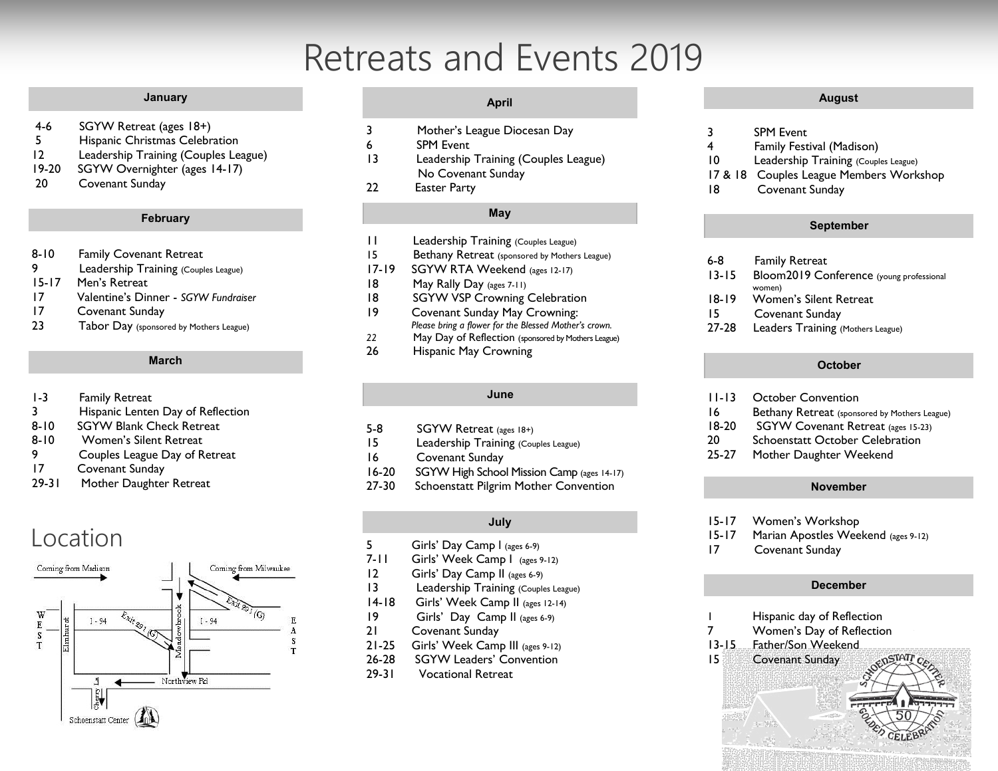## Retreats and Events 2019

#### **January**

- 4-6 SGYW Retreat (ages 18+)
- 5 Hispanic Christmas Celebration
- 12 Leadership Training (Couples League)
- 19-20 SGYW Overnighter (ages 14-17)
- 20 Covenant Sunday

#### **February**

- 8-10 Family Covenant Retreat
- 9 Leadership Training (Couples League)
- 15-17 Men's Retreat
- 17 Valentine's Dinner *SGYW Fundraiser*
- 17 Covenant Sunday
- 23 Tabor Day (sponsored by Mothers League)

#### **March**

- 1-3 Family Retreat
- 3 Hispanic Lenten Day of Reflection
- 8-10 SGYW Blank Check Retreat
- 8-10 Women's Silent Retreat
- 9 Couples League Day of Retreat
- 17 Covenant Sunday
- 29-31 Mother Daughter Retreat

### Location



#### **April**

- 3 Mother's League Diocesan Day
- 6 SPM Event
- 13 Leadership Training (Couples League) No Covenant Sunday
- 22 Easter Party

#### **May**

- 11 Leadership Training (Couples League)
- 15 Bethany Retreat (sponsored by Mothers League)
- 17-19 SGYW RTA Weekend (ages 12-17)
- 18 May Rally Day (ages 7-11)
- 18 SGYW VSP Crowning Celebration
- 19 Covenant Sunday May Crowning: *Please bring a flower for the Blessed Mother's crown.*
- *22* May Day of Reflection (sponsored by Mothers League)
- 26 Hispanic May Crowning

#### **June**

- 5-8 SGYW Retreat (ages 18+)
- 15 Leadership Training (Couples League)
- 16 Covenant Sunday
- 16-20 SGYW High School Mission Camp (ages 14-17)
- 27-30 Schoenstatt Pilgrim Mother Convention

#### **July**

- 5 Girls' Day Camp l (ages 6-9)
- 7-11 Girls' Week Camp I (ages 9-12)
- 12 Girls' Day Camp II (ages 6-9)
- 13 Leadership Training (Couples League)
- 14-18 Girls' Week Camp II (ages 12-14)
- 19 Girls' Day Camp II (ages 6-9)
- 21 Covenant Sunday
- 21-25 Girls' Week Camp III (ages 9-12)
- 26-28 SGYW Leaders' Convention
- 29-31 Vocational Retreat

#### **August**

- 3 SPM Event
- 4 Family Festival (Madison)
- 10 Leadership Training (Couples League)
- 17 & 18 Couples League Members Workshop
- 18 Covenant Sunday

#### **September**

- 6-8 Family Retreat
- 13-15 Bloom2019 Conference (young professional women)
- 18-19 Women's Silent Retreat
- 15 Covenant Sunday
- 27-28 Leaders Training (Mothers League)

#### **October**

- 11-13 October Convention
- 16 Bethany Retreat (sponsored by Mothers League)
- 18-20 SGYW Covenant Retreat (ages 15-23)
- 20 Schoenstatt October Celebration
- 25-27 Mother Daughter Weekend

#### **November**

- 15-17 Women's Workshop
- 15-17 Marian Apostles Weekend (ages 9-12)
- 17 Covenant Sunday

#### **December**

- 1 Hispanic day of Reflection
- 7 Women's Day of Reflection
- 13-15 Father/Son Weekend
- 15 Covenant Sunday
	-